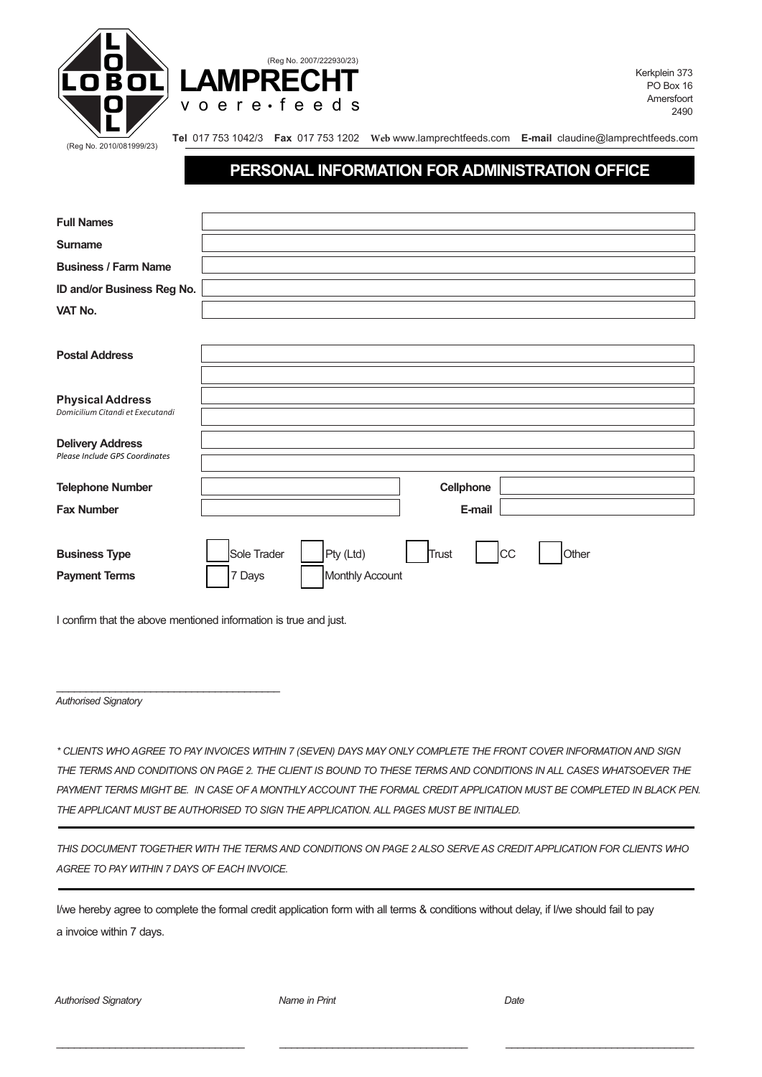



Kerkplein 373 PO Box 16 Amersfoort 2490

(Reg No. 2010/081999/23)

**Tel** 017 753 1042/3 **Fax** 017 753 1202 **Web** www.lamprechtfeeds.com **E-mail** claudine@lamprechtfeeds.com

## **PERSONAL INFORMATION FOR ADMINISTRATION OFFICE**

| <b>Full Names</b>                |                                                         |
|----------------------------------|---------------------------------------------------------|
| <b>Surname</b>                   |                                                         |
| <b>Business / Farm Name</b>      |                                                         |
| ID and/or Business Reg No.       |                                                         |
| VAT No.                          |                                                         |
|                                  |                                                         |
| <b>Postal Address</b>            |                                                         |
|                                  |                                                         |
| <b>Physical Address</b>          |                                                         |
| Domicilium Citandi et Executandi |                                                         |
| <b>Delivery Address</b>          |                                                         |
| Please Include GPS Coordinates   |                                                         |
| <b>Telephone Number</b>          | Cellphone                                               |
| <b>Fax Number</b>                | E-mail                                                  |
|                                  |                                                         |
| <b>Business Type</b>             | Pty (Ltd)<br>Sole Trader<br>Trust<br><b>CC</b><br>Other |
| <b>Payment Terms</b>             | Monthly Account<br>7 Days                               |
|                                  |                                                         |

I confirm that the above mentioned information is true and just.

\_\_\_\_\_\_\_\_\_\_\_\_\_\_\_\_\_\_\_\_\_\_\_\_\_\_\_\_\_\_\_\_\_\_\_\_\_\_

*Authorised Signatory*

*\* CLIENTS WHO AGREE TO PAY INVOICES WITHIN 7 (SEVEN) DAYS MAY ONLY COMPLETE THE FRONT COVER INFORMATION AND SIGN THE TERMS AND CONDITIONS ON PAGE 2. THE CLIENT IS BOUND TO THESE TERMS AND CONDITIONS IN ALL CASES WHATSOEVER THE PAYMENT TERMS MIGHT BE. IN CASE OF A MONTHLY ACCOUNT THE FORMAL CREDIT APPLICATION MUST BE COMPLETED IN BLACK PEN. THE APPLICANT MUST BE AUTHORISED TO SIGN THE APPLICATION. ALL PAGES MUST BE INITIALED.*

*THIS DOCUMENT TOGETHER WITH THE TERMS AND CONDITIONS ON PAGE 2 ALSO SERVE AS CREDIT APPLICATION FOR CLIENTS WHO AGREE TO PAY WITHIN 7 DAYS OF EACH INVOICE.*

\_\_\_\_\_\_\_\_\_\_\_\_\_\_\_\_\_\_\_\_\_\_\_\_\_\_\_\_\_\_\_\_ \_\_\_\_\_\_\_\_\_\_\_\_\_\_\_\_\_\_\_\_\_\_\_\_\_\_\_\_\_\_\_\_ \_\_\_\_\_\_\_\_\_\_\_\_\_\_\_\_\_\_\_\_\_\_\_\_\_\_\_\_\_\_\_\_

I/we hereby agree to complete the formal credit application form with all terms & conditions without delay, if I/we should fail to pay a invoice within 7 days.

*Authorised Signatory Name in Print Date*